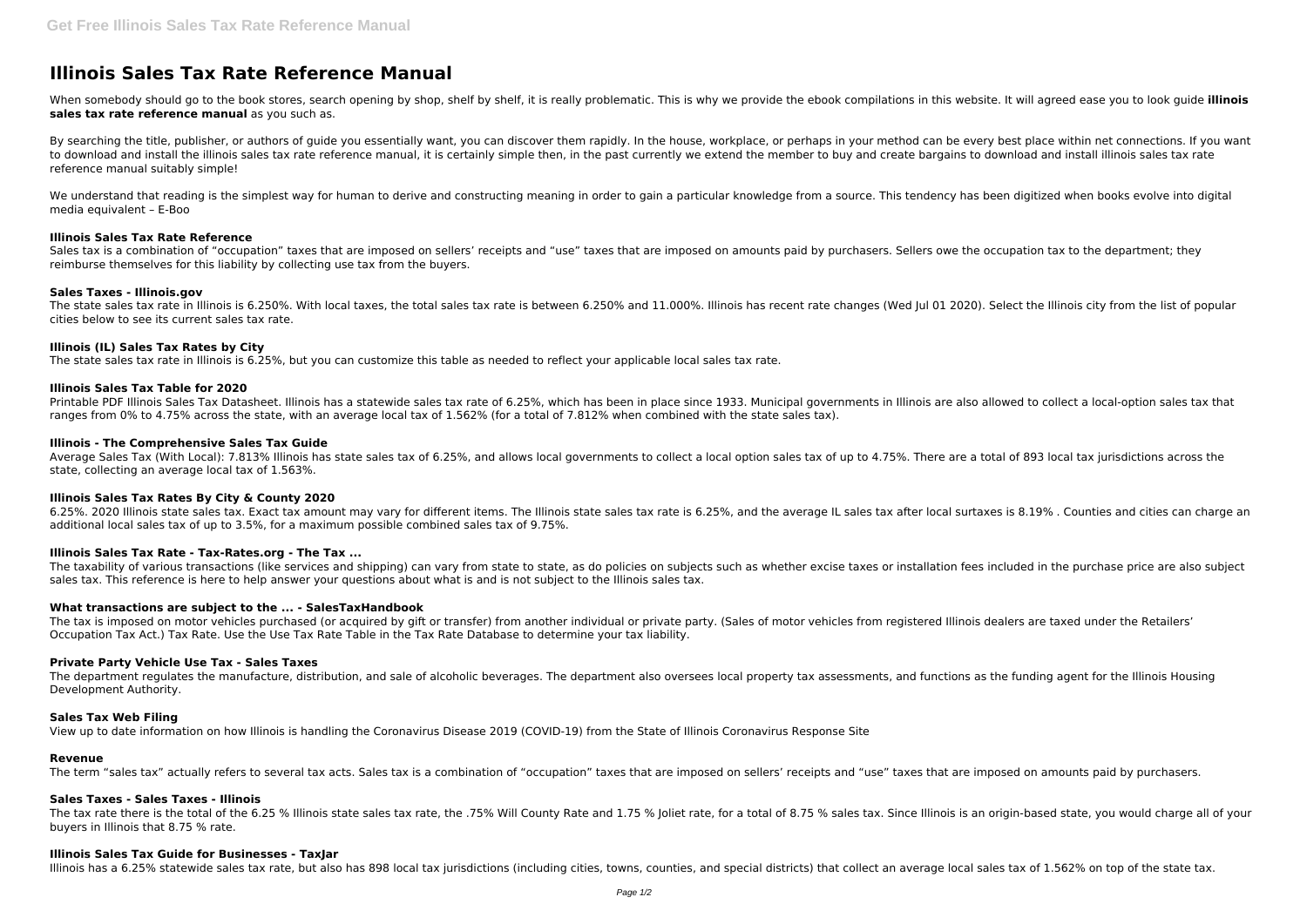# **Illinois Sales Tax Rate Reference Manual**

When somebody should go to the book stores, search opening by shop, shelf by shelf, it is really problematic. This is why we provide the ebook compilations in this website. It will agreed ease you to look guide illinois **sales tax rate reference manual** as you such as.

By searching the title, publisher, or authors of quide you essentially want, you can discover them rapidly. In the house, workplace, or perhaps in your method can be every best place within net connections. If you want to download and install the illinois sales tax rate reference manual, it is certainly simple then, in the past currently we extend the member to buy and create bargains to download and install illinois sales tax rate reference manual suitably simple!

We understand that reading is the simplest way for human to derive and constructing meaning in order to gain a particular knowledge from a source. This tendency has been digitized when books evolve into digital media equivalent – E-Boo

Sales tax is a combination of "occupation" taxes that are imposed on sellers' receipts and "use" taxes that are imposed on amounts paid by purchasers. Sellers owe the occupation tax to the department; they reimburse themselves for this liability by collecting use tax from the buyers.

The state sales tax rate in Illinois is 6.250%. With local taxes, the total sales tax rate is between 6.250% and 11.000%. Illinois has recent rate changes (Wed Jul 01 2020). Select the Illinois city from the list of popula cities below to see its current sales tax rate.

# **Illinois Sales Tax Rate Reference**

Printable PDF Illinois Sales Tax Datasheet. Illinois has a statewide sales tax rate of 6.25%, which has been in place since 1933. Municipal governments in Illinois are also allowed to collect a local-option sales tax that ranges from 0% to 4.75% across the state, with an average local tax of 1.562% (for a total of 7.812% when combined with the state sales tax).

Average Sales Tax (With Local): 7.813% Illinois has state sales tax of 6.25%, and allows local governments to collect a local option sales tax of up to 4.75%. There are a total of 893 local tax jurisdictions across the state, collecting an average local tax of 1.563%.

# **Sales Taxes - Illinois.gov**

The taxability of various transactions (like services and shipping) can vary from state to state, as do policies on subjects such as whether excise taxes or installation fees included in the purchase price are also subject sales tax. This reference is here to help answer your questions about what is and is not subject to the Illinois sales tax.

# **Illinois (IL) Sales Tax Rates by City**

The state sales tax rate in Illinois is 6.25%, but you can customize this table as needed to reflect your applicable local sales tax rate.

The tax is imposed on motor vehicles purchased (or acquired by gift or transfer) from another individual or private party. (Sales of motor vehicles from registered Illinois dealers are taxed under the Retailers' Occupation Tax Act.) Tax Rate. Use the Use Tax Rate Table in the Tax Rate Database to determine your tax liability.

# **Illinois Sales Tax Table for 2020**

The department regulates the manufacture, distribution, and sale of alcoholic beverages. The department also oversees local property tax assessments, and functions as the funding agent for the Illinois Housing Development Authority.

# **Illinois - The Comprehensive Sales Tax Guide**

The tax rate there is the total of the 6.25 % Illinois state sales tax rate, the .75% Will County Rate and 1.75 % Joliet rate, for a total of 8.75 % sales tax. Since Illinois is an origin-based state, you would charge all buyers in Illinois that 8.75 % rate.

# **Illinois Sales Tax Rates By City & County 2020**

6.25%. 2020 Illinois state sales tax. Exact tax amount may vary for different items. The Illinois state sales tax rate is 6.25%, and the average IL sales tax after local surtaxes is 8.19% . Counties and cities can charge an additional local sales tax of up to 3.5%, for a maximum possible combined sales tax of 9.75%.

# **Illinois Sales Tax Rate - Tax-Rates.org - The Tax ...**

# **What transactions are subject to the ... - SalesTaxHandbook**

#### **Private Party Vehicle Use Tax - Sales Taxes**

#### **Sales Tax Web Filing**

View up to date information on how Illinois is handling the Coronavirus Disease 2019 (COVID-19) from the State of Illinois Coronavirus Response Site

#### **Revenue**

The term "sales tax" actually refers to several tax acts. Sales tax is a combination of "occupation" taxes that are imposed on sellers' receipts and "use" taxes that are imposed on amounts paid by purchasers.

#### **Sales Taxes - Sales Taxes - Illinois**

#### **Illinois Sales Tax Guide for Businesses - TaxJar**

Illinois has a 6.25% statewide sales tax rate, but also has 898 local tax jurisdictions (including cities, towns, counties, and special districts) that collect an average local sales tax of 1.562% on top of the state tax.